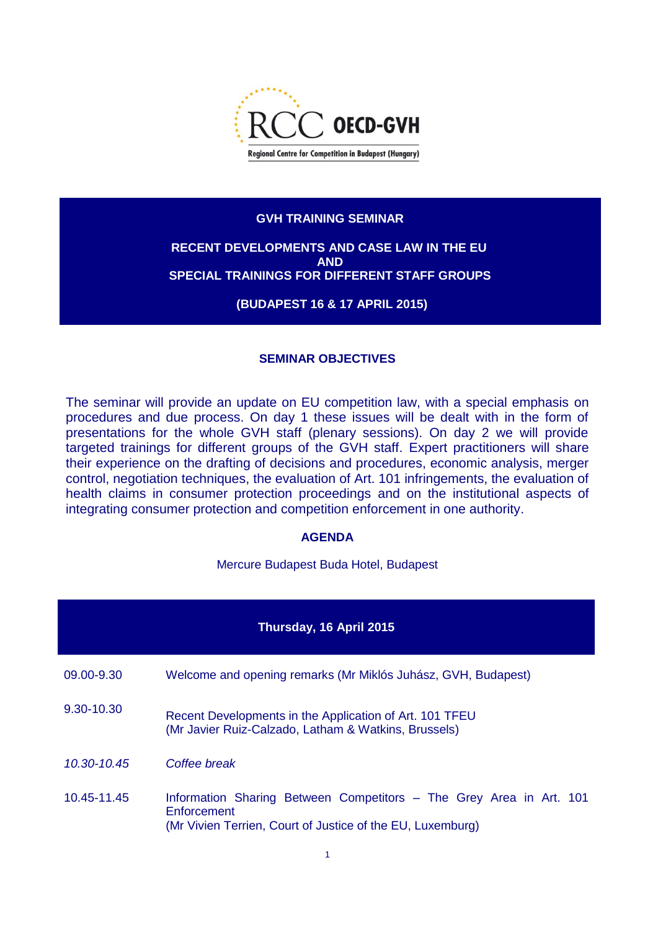

## **GVH TRAINING SEMINAR**

## **RECENT DEVELOPMENTS AND CASE LAW IN THE EU AND SPECIAL TRAININGS FOR DIFFERENT STAFF GROUPS**

**(BUDAPEST 16 & 17 APRIL 2015)**

## **SEMINAR OBJECTIVES**

The seminar will provide an update on EU competition law, with a special emphasis on procedures and due process. On day 1 these issues will be dealt with in the form of presentations for the whole GVH staff (plenary sessions). On day 2 we will provide targeted trainings for different groups of the GVH staff. Expert practitioners will share their experience on the drafting of decisions and procedures, economic analysis, merger control, negotiation techniques, the evaluation of Art. 101 infringements, the evaluation of health claims in consumer protection proceedings and on the institutional aspects of integrating consumer protection and competition enforcement in one authority.

## **AGENDA**

Mercure Budapest Buda Hotel, Budapest

| Thursday, 16 April 2015 |                                                                                                                                                  |  |  |  |  |  |  |
|-------------------------|--------------------------------------------------------------------------------------------------------------------------------------------------|--|--|--|--|--|--|
| 09.00-9.30              | Welcome and opening remarks (Mr Miklós Juhász, GVH, Budapest)                                                                                    |  |  |  |  |  |  |
| 9.30-10.30              | Recent Developments in the Application of Art. 101 TFEU<br>(Mr Javier Ruiz-Calzado, Latham & Watkins, Brussels)                                  |  |  |  |  |  |  |
| 10.30-10.45             | Coffee break                                                                                                                                     |  |  |  |  |  |  |
| 10.45-11.45             | Information Sharing Between Competitors - The Grey Area in Art. 101<br>Enforcement<br>(Mr Vivien Terrien, Court of Justice of the EU, Luxemburg) |  |  |  |  |  |  |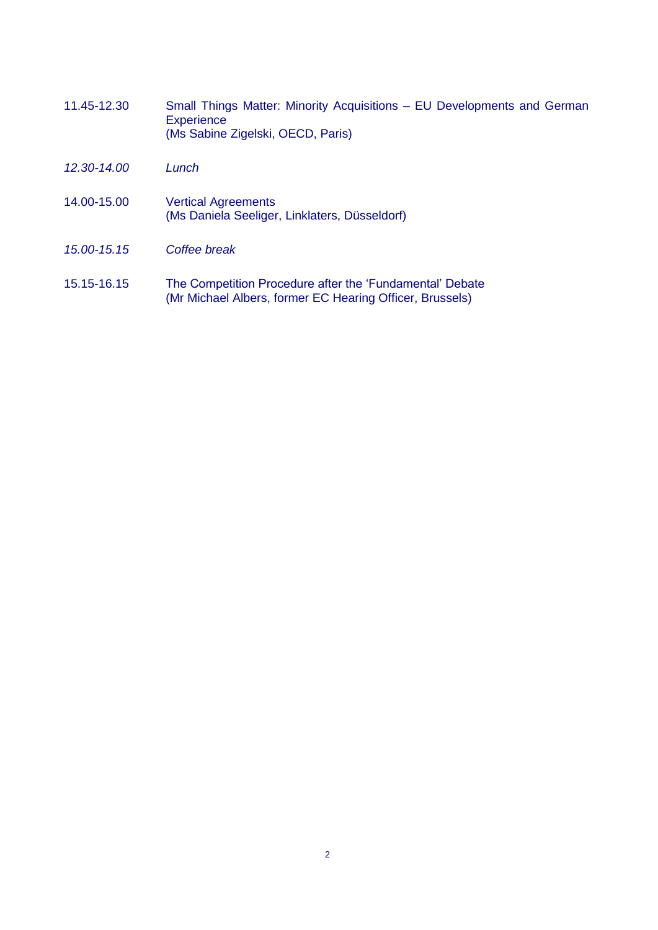- 11.45-12.30 Small Things Matter: Minority Acquisitions EU Developments and German **Experience** (Ms Sabine Zigelski, OECD, Paris)
- *12.30-14.00 Lunch*
- 14.00-15.00 Vertical Agreements (Ms Daniela Seeliger, Linklaters, Düsseldorf)
- *15.00-15.15 Coffee break*
- 15.15-16.15 The Competition Procedure after the 'Fundamental' Debate (Mr Michael Albers, former EC Hearing Officer, Brussels)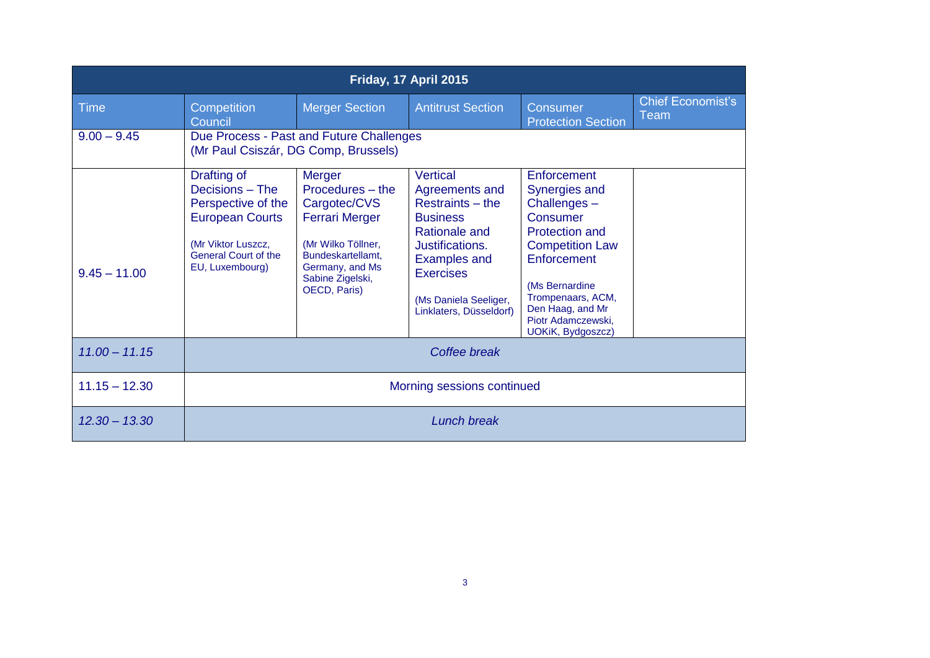| Friday, 17 April 2015 |                                                                                                                                                        |                                                                                                                                                                       |                                                                                                                                                                                                             |                                                                                                                                                                                                                                  |                                  |  |  |  |
|-----------------------|--------------------------------------------------------------------------------------------------------------------------------------------------------|-----------------------------------------------------------------------------------------------------------------------------------------------------------------------|-------------------------------------------------------------------------------------------------------------------------------------------------------------------------------------------------------------|----------------------------------------------------------------------------------------------------------------------------------------------------------------------------------------------------------------------------------|----------------------------------|--|--|--|
| <b>Time</b>           | Competition<br>Council                                                                                                                                 | <b>Merger Section</b>                                                                                                                                                 | <b>Antitrust Section</b>                                                                                                                                                                                    | Consumer<br><b>Protection Section</b>                                                                                                                                                                                            | <b>Chief Economist's</b><br>Team |  |  |  |
| $9.00 - 9.45$         | Due Process - Past and Future Challenges<br>(Mr Paul Csiszár, DG Comp, Brussels)                                                                       |                                                                                                                                                                       |                                                                                                                                                                                                             |                                                                                                                                                                                                                                  |                                  |  |  |  |
| $9.45 - 11.00$        | Drafting of<br>Decisions - The<br>Perspective of the<br><b>European Courts</b><br>(Mr Viktor Luszcz,<br><b>General Court of the</b><br>EU, Luxembourg) | Merger<br>Procedures - the<br>Cargotec/CVS<br><b>Ferrari Merger</b><br>(Mr Wilko Töllner,<br>Bundeskartellamt.<br>Germany, and Ms<br>Sabine Zigelski,<br>OECD, Paris) | <b>Vertical</b><br>Agreements and<br>Restraints – the<br><b>Business</b><br>Rationale and<br>Justifications.<br><b>Examples and</b><br><b>Exercises</b><br>(Ms Daniela Seeliger,<br>Linklaters, Düsseldorf) | Enforcement<br>Synergies and<br>Challenges-<br>Consumer<br><b>Protection and</b><br><b>Competition Law</b><br>Enforcement<br>(Ms Bernardine)<br>Trompenaars, ACM,<br>Den Haag, and Mr<br>Piotr Adamczewski,<br>UOKiK, Bydgoszcz) |                                  |  |  |  |
| $11.00 - 11.15$       | Coffee break                                                                                                                                           |                                                                                                                                                                       |                                                                                                                                                                                                             |                                                                                                                                                                                                                                  |                                  |  |  |  |
| $11.15 - 12.30$       | Morning sessions continued                                                                                                                             |                                                                                                                                                                       |                                                                                                                                                                                                             |                                                                                                                                                                                                                                  |                                  |  |  |  |
| $12.30 - 13.30$       | Lunch break                                                                                                                                            |                                                                                                                                                                       |                                                                                                                                                                                                             |                                                                                                                                                                                                                                  |                                  |  |  |  |